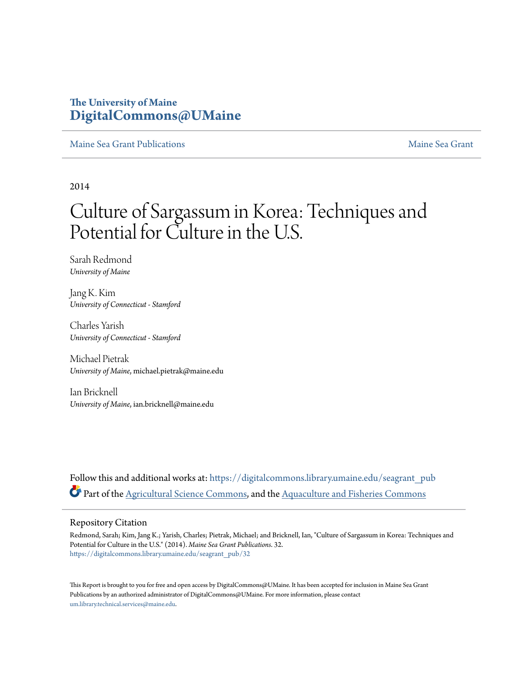## **The University of Maine [DigitalCommons@UMaine](https://digitalcommons.library.umaine.edu?utm_source=digitalcommons.library.umaine.edu%2Fseagrant_pub%2F32&utm_medium=PDF&utm_campaign=PDFCoverPages)**

[Maine Sea Grant Publications](https://digitalcommons.library.umaine.edu/seagrant_pub?utm_source=digitalcommons.library.umaine.edu%2Fseagrant_pub%2F32&utm_medium=PDF&utm_campaign=PDFCoverPages) **[Maine Sea Grant](https://digitalcommons.library.umaine.edu/seagrant?utm_source=digitalcommons.library.umaine.edu%2Fseagrant_pub%2F32&utm_medium=PDF&utm_campaign=PDFCoverPages)** 

2014

## Culture of Sargassum in Korea: Techniques and Potential for Culture in the U.S.

Sarah Redmond *University of Maine*

Jang K. Kim *University of Connecticut - Stamford*

Charles Yarish *University of Connecticut - Stamford*

Michael Pietrak *University of Maine*, michael.pietrak@maine.edu

Ian Bricknell *University of Maine*, ian.bricknell@maine.edu

Follow this and additional works at: [https://digitalcommons.library.umaine.edu/seagrant\\_pub](https://digitalcommons.library.umaine.edu/seagrant_pub?utm_source=digitalcommons.library.umaine.edu%2Fseagrant_pub%2F32&utm_medium=PDF&utm_campaign=PDFCoverPages) Part of the [Agricultural Science Commons](http://network.bepress.com/hgg/discipline/1063?utm_source=digitalcommons.library.umaine.edu%2Fseagrant_pub%2F32&utm_medium=PDF&utm_campaign=PDFCoverPages), and the [Aquaculture and Fisheries Commons](http://network.bepress.com/hgg/discipline/78?utm_source=digitalcommons.library.umaine.edu%2Fseagrant_pub%2F32&utm_medium=PDF&utm_campaign=PDFCoverPages)

#### Repository Citation

Redmond, Sarah; Kim, Jang K.; Yarish, Charles; Pietrak, Michael; and Bricknell, Ian, "Culture of Sargassum in Korea: Techniques and Potential for Culture in the U.S." (2014). *Maine Sea Grant Publications*. 32. [https://digitalcommons.library.umaine.edu/seagrant\\_pub/32](https://digitalcommons.library.umaine.edu/seagrant_pub/32?utm_source=digitalcommons.library.umaine.edu%2Fseagrant_pub%2F32&utm_medium=PDF&utm_campaign=PDFCoverPages)

This Report is brought to you for free and open access by DigitalCommons@UMaine. It has been accepted for inclusion in Maine Sea Grant Publications by an authorized administrator of DigitalCommons@UMaine. For more information, please contact [um.library.technical.services@maine.edu](mailto:um.library.technical.services@maine.edu).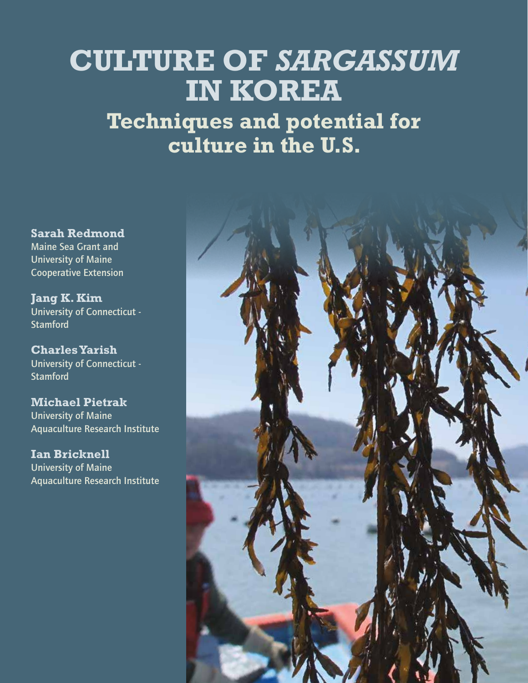# **CULTURE OF** *SARGASSUM* **IN KOREA**

## **Techniques and potential for culture in the U.S.**

**Sarah Redmond** Maine Sea Grant and University of Maine Cooperative Extension

**Jang K. Kim** University of Connecticut - **Stamford** 

**Charles Yarish** University of Connecticut - **Stamford** 

**Michael Pietrak** University of Maine Aquaculture Research Institute

**Ian Bricknell** University of Maine Aquaculture Research Institute

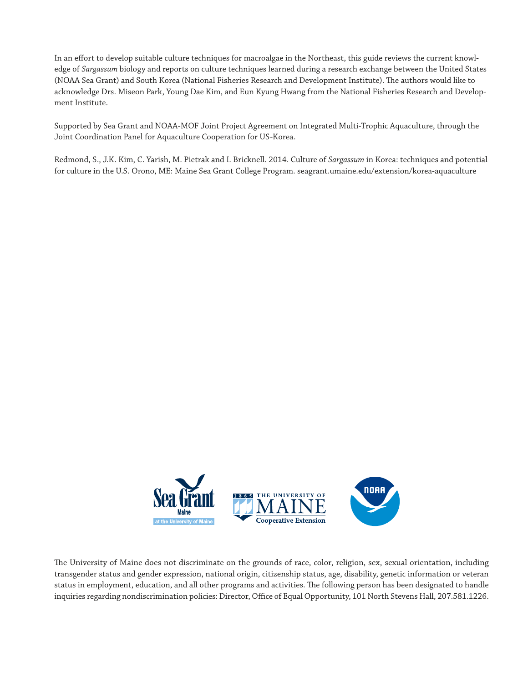In an effort to develop suitable culture techniques for macroalgae in the Northeast, this guide reviews the current knowledge of *Sargassum* biology and reports on culture techniques learned during a research exchange between the United States (NOAA Sea Grant) and South Korea (National Fisheries Research and Development Institute). The authors would like to acknowledge Drs. Miseon Park, Young Dae Kim, and Eun Kyung Hwang from the National Fisheries Research and Development Institute.

Supported by Sea Grant and NOAA-MOF Joint Project Agreement on Integrated Multi-Trophic Aquaculture, through the Joint Coordination Panel for Aquaculture Cooperation for US-Korea.

Redmond, S., J.K. Kim, C. Yarish, M. Pietrak and I. Bricknell. 2014. Culture of *Sargassum* in Korea: techniques and potential for culture in the U.S. Orono, ME: Maine Sea Grant College Program. seagrant.umaine.edu/extension/korea-aquaculture



The University of Maine does not discriminate on the grounds of race, color, religion, sex, sexual orientation, including transgender status and gender expression, national origin, citizenship status, age, disability, genetic information or veteran status in employment, education, and all other programs and activities. The following person has been designated to handle inquiries regarding nondiscrimination policies: Director, Office of Equal Opportunity, 101 North Stevens Hall, 207.581.1226.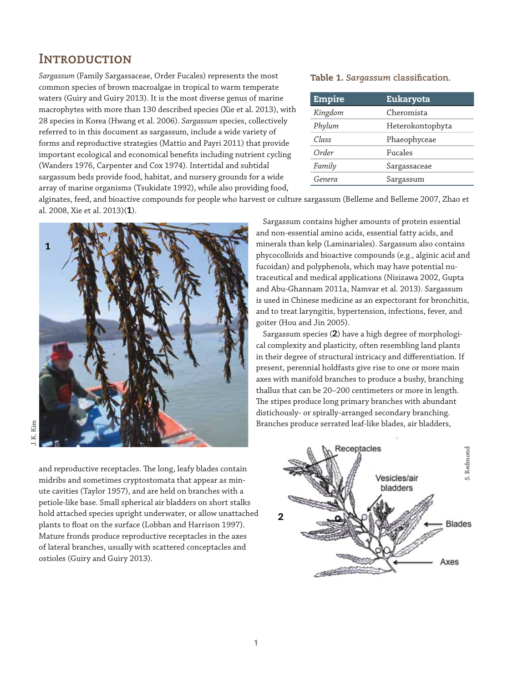## **Introduction**

*Sargassum* (Family Sargassaceae, Order Fucales) represents the most common species of brown macroalgae in tropical to warm temperate waters (Guiry and Guiry 2013). It is the most diverse genus of marine macrophytes with more than 130 described species (Xie et al. 2013), with 28 species in Korea (Hwang et al. 2006). *Sargassum* species, collectively referred to in this document as sargassum, include a wide variety of forms and reproductive strategies (Mattio and Payri 2011) that provide important ecological and economical benefits including nutrient cycling (Wanders 1976, Carpenter and Cox 1974). Intertidal and subtidal sargassum beds provide food, habitat, and nursery grounds for a wide array of marine organisms (Tsukidate 1992), while also providing food,

#### Table 1. *Sargassum* **classification.**

| <b>Empire</b> | <b>Eukaryota</b> |
|---------------|------------------|
| Kingdom       | Cheromista       |
| Phylum        | Heterokontophyta |
| Class         | Phaeophyceae     |
| Order         | Fucales          |
| Family        | Sargassaceae     |
| Genera        | Sargassum        |

alginates, feed, and bioactive compounds for people who harvest or culture sargassum (Belleme and Belleme 2007, Zhao et al. 2008, Xie et al. 2013)(1).



and reproductive receptacles. The long, leafy blades contain midribs and sometimes cryptostomata that appear as minute cavities (Taylor 1957), and are held on branches with a petiole-like base. Small spherical air bladders on short stalks hold attached species upright underwater, or allow unattached plants to float on the surface (Lobban and Harrison 1997). Mature fronds produce reproductive receptacles in the axes of lateral branches, usually with scattered conceptacles and ostioles (Guiry and Guiry 2013).

Sargassum contains higher amounts of protein essential and non-essential amino acids, essential fatty acids, and minerals than kelp (Laminariales). Sargassum also contains phycocolloids and bioactive compounds (e.g., alginic acid and fucoidan) and polyphenols, which may have potential nutraceutical and medical applications (Nisizawa 2002, Gupta and Abu-Ghannam 2011a, Namvar et al. 2013). Sargassum is used in Chinese medicine as an expectorant for bronchitis, and to treat laryngitis, hypertension, infections, fever, and goiter (Hou and Jin 2005).

Sargassum species (2) have a high degree of morphological complexity and plasticity, often resembling land plants in their degree of structural intricacy and differentiation. If present, perennial holdfasts give rise to one or more main axes with manifold branches to produce a bushy, branching thallus that can be 20–200 centimeters or more in length. The stipes produce long primary branches with abundant distichously- or spirally-arranged secondary branching. Branches produce serrated leaf-like blades, air bladders,

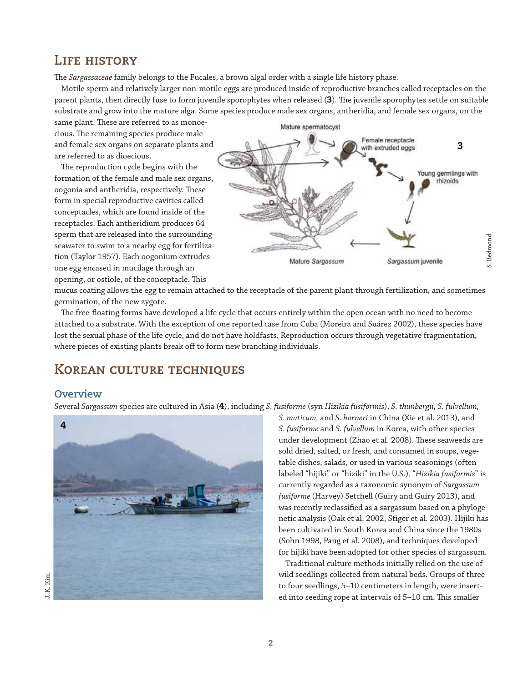### **Life history**

The *Sargassaceae* family belongs to the Fucales, a brown algal order with a single life history phase.

Motile sperm and relatively larger non-motile eggs are produced inside of reproductive branches called receptacles on the parent plants, then directly fuse to form juvenile sporophytes when released (3). The juvenile sporophytes settle on suitable substrate and grow into the mature alga. Some species produce male sex organs, antheridia, and female sex organs, on the

same plant. These are referred to as monoecious. The remaining species produce male and female sex organs on separate plants and are referred to as dioecious.

The reproduction cycle begins with the formation of the female and male sex organs, oogonia and antheridia, respectively. These form in special reproductive cavities called conceptacles, which are found inside of the receptacles. Each antheridium produces 64 sperm that are released into the surrounding seawater to swim to a nearby egg for fertilization (Taylor 1957). Each oogonium extrudes one egg encased in mucilage through an opening, or ostiole, of the conceptacle. This



mucus coating allows the egg to remain attached to the receptacle of the parent plant through fertilization, and sometimes germination, of the new zygote.

The free-floating forms have developed a life cycle that occurs entirely within the open ocean with no need to become attached to a substrate. With the exception of one reported case from Cuba (Moreira and Suárez 2002), these species have lost the sexual phase of the life cycle, and do not have holdfasts. Reproduction occurs through vegetative fragmentation, where pieces of existing plants break off to form new branching individuals.

## **Korean culture techniques**

#### **Overview**

Several *Sargassum* species are cultured in Asia (4), including *S. fusiforme* (syn *Hizikia fusiformis*), *S. thunbergii, S. fulvellum,* 



*S. muticum,* and *S. horneri* in China (Xie et al. 2013), and *S. fusiforme* and *S. fulvellum* in Korea, with other species under development (Zhao et al. 2008). These seaweeds are sold dried, salted, or fresh, and consumed in soups, vegetable dishes, salads, or used in various seasonings (often labeled "hijiki" or "hiziki" in the U.S.). "*Hizikia fusiformis*" is currently regarded as a taxonomic synonym of *Sargassum fusiforme* (Harvey) Setchell (Guiry and Guiry 2013), and was recently reclassified as a sargassum based on a phylogenetic analysis (Oak et al. 2002, Stiger et al. 2003). Hijiki has been cultivated in South Korea and China since the 1980s (Sohn 1998, Pang et al. 2008), and techniques developed for hijiki have been adopted for other species of sargassum*.* 

Traditional culture methods initially relied on the use of wild seedlings collected from natural beds. Groups of three to four seedlings, 5–10 centimeters in length, were inserted into seeding rope at intervals of 5–10 cm. This smaller

J. K. Kim J. K. Kim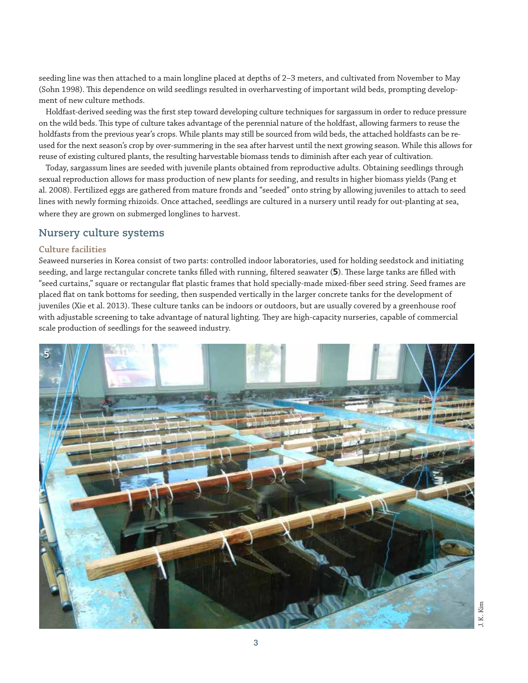seeding line was then attached to a main longline placed at depths of 2–3 meters, and cultivated from November to May (Sohn 1998). This dependence on wild seedlings resulted in overharvesting of important wild beds, prompting development of new culture methods.

Holdfast-derived seeding was the first step toward developing culture techniques for sargassum in order to reduce pressure on the wild beds. This type of culture takes advantage of the perennial nature of the holdfast, allowing farmers to reuse the holdfasts from the previous year's crops. While plants may still be sourced from wild beds, the attached holdfasts can be reused for the next season's crop by over-summering in the sea after harvest until the next growing season. While this allows for reuse of existing cultured plants, the resulting harvestable biomass tends to diminish after each year of cultivation.

Today, sargassum lines are seeded with juvenile plants obtained from reproductive adults. Obtaining seedlings through sexual reproduction allows for mass production of new plants for seeding, and results in higher biomass yields (Pang et al. 2008). Fertilized eggs are gathered from mature fronds and "seeded" onto string by allowing juveniles to attach to seed lines with newly forming rhizoids. Once attached, seedlings are cultured in a nursery until ready for out-planting at sea, where they are grown on submerged longlines to harvest.

#### **Nursery culture systems**

#### **Culture facilities**

Seaweed nurseries in Korea consist of two parts: controlled indoor laboratories, used for holding seedstock and initiating seeding, and large rectangular concrete tanks filled with running, filtered seawater (5). These large tanks are filled with "seed curtains," square or rectangular flat plastic frames that hold specially-made mixed-fiber seed string. Seed frames are placed flat on tank bottoms for seeding, then suspended vertically in the larger concrete tanks for the development of juveniles (Xie et al. 2013). These culture tanks can be indoors or outdoors, but are usually covered by a greenhouse roof with adjustable screening to take advantage of natural lighting. They are high-capacity nurseries, capable of commercial scale production of seedlings for the seaweed industry.

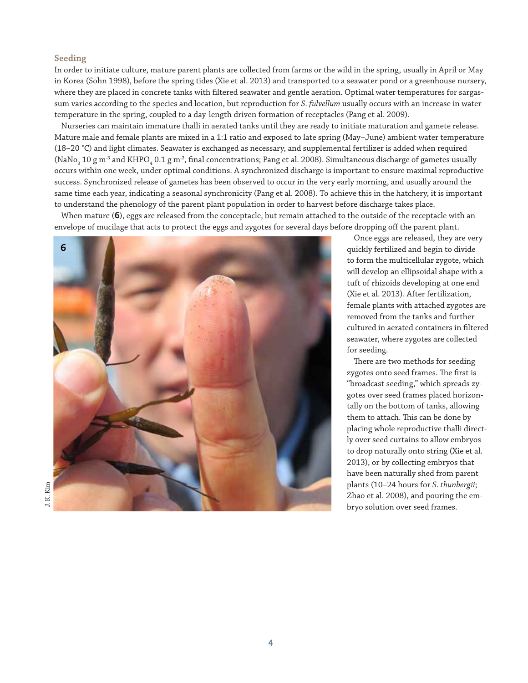#### **Seeding**

In order to initiate culture, mature parent plants are collected from farms or the wild in the spring, usually in April or May in Korea (Sohn 1998), before the spring tides (Xie et al. 2013) and transported to a seawater pond or a greenhouse nursery, where they are placed in concrete tanks with filtered seawater and gentle aeration. Optimal water temperatures for sargassum varies according to the species and location, but reproduction for *S. fulvellum* usually occurs with an increase in water temperature in the spring, coupled to a day-length driven formation of receptacles (Pang et al. 2009).

Nurseries can maintain immature thalli in aerated tanks until they are ready to initiate maturation and gamete release. Mature male and female plants are mixed in a 1:1 ratio and exposed to late spring (May–June) ambient water temperature (18–20 °C) and light climates. Seawater is exchanged as necessary, and supplemental fertilizer is added when required (NaNo $_3$  10 g m $^3$  and KHPO $_4$  0.1 g m $^3$ , final concentrations; Pang et al. 2008). Simultaneous discharge of gametes usually occurs within one week, under optimal conditions. A synchronized discharge is important to ensure maximal reproductive success. Synchronized release of gametes has been observed to occur in the very early morning, and usually around the same time each year, indicating a seasonal synchronicity (Pang et al. 2008). To achieve this in the hatchery, it is important to understand the phenology of the parent plant population in order to harvest before discharge takes place.

When mature  $(6)$ , eggs are released from the conceptacle, but remain attached to the outside of the receptacle with an envelope of mucilage that acts to protect the eggs and zygotes for several days before dropping off the parent plant.



Once eggs are released, they are very quickly fertilized and begin to divide to form the multicellular zygote, which will develop an ellipsoidal shape with a tuft of rhizoids developing at one end (Xie et al. 2013). After fertilization, female plants with attached zygotes are removed from the tanks and further cultured in aerated containers in filtered seawater, where zygotes are collected for seeding.

There are two methods for seeding zygotes onto seed frames. The first is "broadcast seeding," which spreads zygotes over seed frames placed horizontally on the bottom of tanks, allowing them to attach. This can be done by placing whole reproductive thalli directly over seed curtains to allow embryos to drop naturally onto string (Xie et al. 2013), or by collecting embryos that have been naturally shed from parent plants (10–24 hours for *S. thunbergii*; Zhao et al. 2008), and pouring the em bryo solution over seed frames.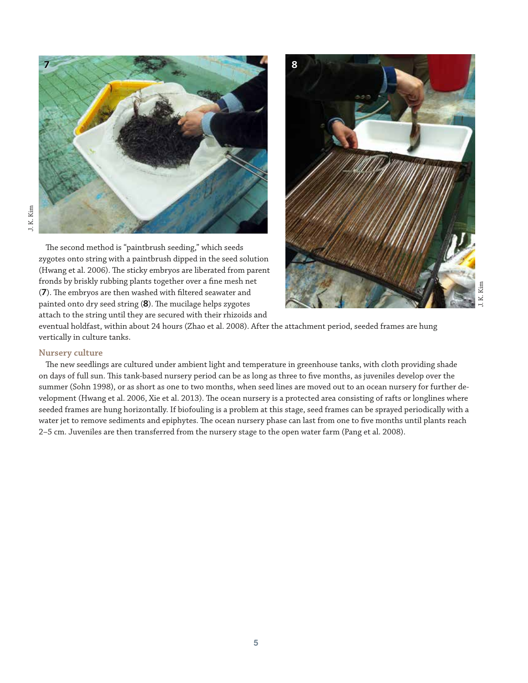

The second method is "paintbrush seeding," which seeds zygotes onto string with a paintbrush dipped in the seed solution (Hwang et al. 2006). The sticky embryos are liberated from parent fronds by briskly rubbing plants together over a fine mesh net (7). The embryos are then washed with filtered seawater and painted onto dry seed string (8). The mucilage helps zygotes attach to the string until they are secured with their rhizoids and



eventual holdfast, within about 24 hours (Zhao et al. 2008). After the attachment period, seeded frames are hung vertically in culture tanks.

#### **Nursery culture**

The new seedlings are cultured under ambient light and temperature in greenhouse tanks, with cloth providing shade on days of full sun. This tank-based nursery period can be as long as three to five months, as juveniles develop over the summer (Sohn 1998), or as short as one to two months, when seed lines are moved out to an ocean nursery for further development (Hwang et al. 2006, Xie et al. 2013). The ocean nursery is a protected area consisting of rafts or longlines where seeded frames are hung horizontally. If biofouling is a problem at this stage, seed frames can be sprayed periodically with a water jet to remove sediments and epiphytes. The ocean nursery phase can last from one to five months until plants reach 2–5 cm. Juveniles are then transferred from the nursery stage to the open water farm (Pang et al. 2008).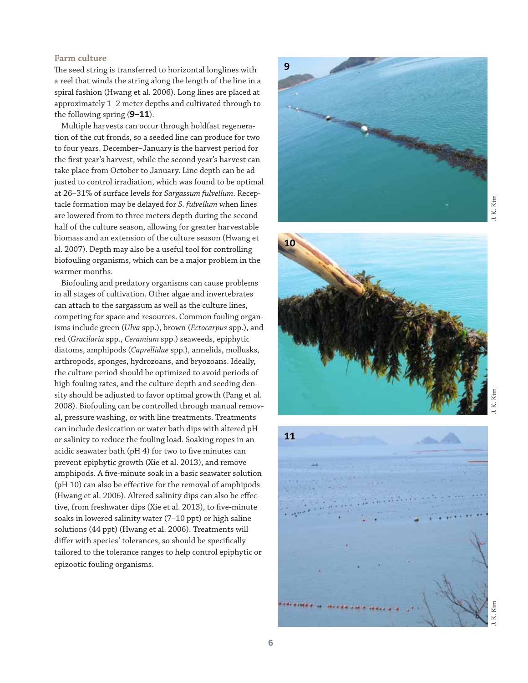#### **Farm culture**

The seed string is transferred to horizontal longlines with a reel that winds the string along the length of the line in a spiral fashion (Hwang et al. 2006). Long lines are placed at approximately 1–2 meter depths and cultivated through to the following spring  $(9-11)$ .

Multiple harvests can occur through holdfast regenera tion of the cut fronds, so a seeded line can produce for two to four years. December–January is the harvest period for the first year's harvest, while the second year's harvest can take place from October to January. Line depth can be ad justed to control irradiation, which was found to be optimal at 26–31% of surface levels for *Sargassum fulvellum*. Recep tacle formation may be delayed for *S. fulvellum* when lines are lowered from to three meters depth during the second half of the culture season, allowing for greater harvestable biomass and an extension of the culture season (Hwang et al. 2007). Depth may also be a useful tool for controlling biofouling organisms, which can be a major problem in the warmer months.

Biofouling and predatory organisms can cause problems in all stages of cultivation. Other algae and invertebrates can attach to the sargassum as well as the culture lines, competing for space and resources. Common fouling organ isms include green (*Ulva* spp.), brown (*Ectocarpus* spp.), and red (*Gracilaria* spp., *Ceramium* spp.) seaweeds, epiphytic diatoms, amphipods (*Caprellidae* spp.), annelids, mollusks, arthropods, sponges, hydrozoans, and bryozoans. Ideally, the culture period should be optimized to avoid periods of high fouling rates, and the culture depth and seeding den sity should be adjusted to favor optimal growth (Pang et al. 2008). Biofouling can be controlled through manual remov al, pressure washing, or with line treatments. Treatments can include desiccation or water bath dips with altered pH or salinity to reduce the fouling load. Soaking ropes in an acidic seawater bath (pH 4) for two to five minutes can prevent epiphytic growth (Xie et al. 2013), and remove amphipods. A five-minute soak in a basic seawater solution (pH 10) can also be effective for the removal of amphipods (Hwang et al. 2006). Altered salinity dips can also be effec tive, from freshwater dips (Xie et al. 2013), to five-minute soaks in lowered salinity water (7–10 ppt) or high saline solutions (44 ppt) (Hwang et al. 2006). Treatments will differ with species' tolerances, so should be specifically tailored to the tolerance ranges to help control epiphytic or epizootic fouling organisms.





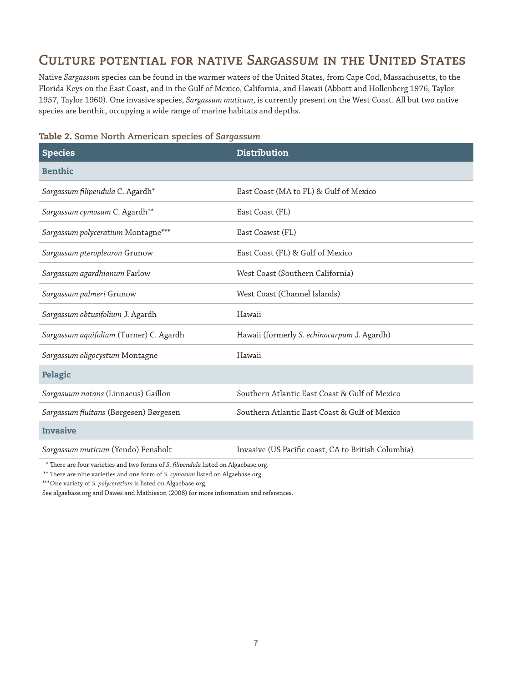## **Culture potential for native** *Sargassum* **in the United States**

Native *Sargassum* species can be found in the warmer waters of the United States, from Cape Cod, Massachusetts, to the Florida Keys on the East Coast, and in the Gulf of Mexico, California, and Hawaii (Abbott and Hollenberg 1976, Taylor 1957, Taylor 1960). One invasive species, *Sargassum muticum*, is currently present on the West Coast. All but two native species are benthic, occupying a wide range of marine habitats and depths.

#### Table 2. **Some North American species of** *Sargassum*

| <b>Species</b>                          | <b>Distribution</b>                                 |
|-----------------------------------------|-----------------------------------------------------|
| <b>Benthic</b>                          |                                                     |
| Sargassum filipendula C. Agardh*        | East Coast (MA to FL) & Gulf of Mexico              |
| Sargassum cymosum C. Agardh**           | East Coast (FL)                                     |
| Sargassum polyceratium Montagne***      | East Coawst (FL)                                    |
| Sargassum pteropleuron Grunow           | East Coast (FL) & Gulf of Mexico                    |
| Sargassum agardhianum Farlow            | West Coast (Southern California)                    |
| Sargassum palmeri Grunow                | West Coast (Channel Islands)                        |
| Sargassum obtusifolium J. Agardh        | Hawaii                                              |
| Sargassum aquifolium (Turner) C. Agardh | Hawaii (formerly S. echinocarpum J. Agardh)         |
| Sargassum oligocystum Montagne          | Hawaii                                              |
| Pelagic                                 |                                                     |
| Sargasuum natans (Linnaeus) Gaillon     | Southern Atlantic East Coast & Gulf of Mexico       |
| Sargassum fluitans (Børgesen) Børgesen  | Southern Atlantic East Coast & Gulf of Mexico       |
| <b>Invasive</b>                         |                                                     |
| Sargassum muticum (Yendo) Fensholt      | Invasive (US Pacific coast, CA to British Columbia) |

\* There are four varieties and two forms of *S. filipendula* listed on Algaebase.org.

\*\* There are nine varieties and one form of *S. cymosum* listed on Algaebase.org.

\*\*\*One variety of *S. polyceratium* is listed on Algaebase.org.

See [algaebase.org](http://www.algaebase.org) and Dawes and Mathieson (2008) for more information and references.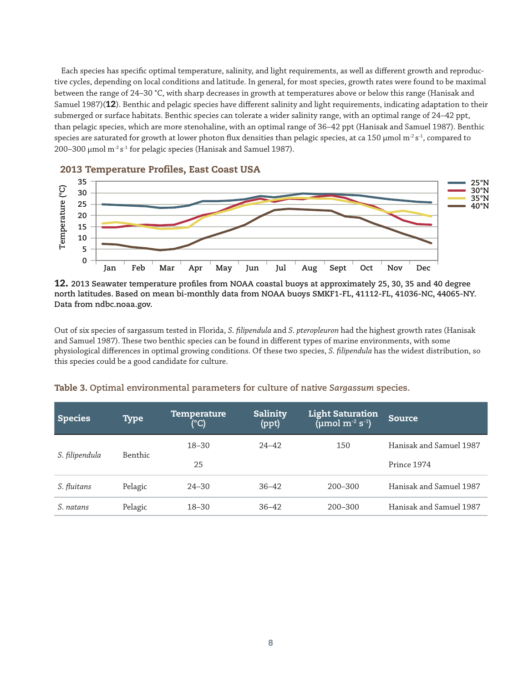Each species has specific optimal temperature, salinity, and light requirements, as well as different growth and reproductive cycles, depending on local conditions and latitude. In general, for most species, growth rates were found to be maximal between the range of 24–30 °C, with sharp decreases in growth at temperatures above or below this range (Hanisak and Samuel 1987)(12). Benthic and pelagic species have different salinity and light requirements, indicating adaptation to their submerged or surface habitats. Benthic species can tolerate a wider salinity range, with an optimal range of 24–42 ppt, than pelagic species, which are more stenohaline, with an optimal range of 36–42 ppt (Hanisak and Samuel 1987). Benthic species are saturated for growth at lower photon flux densities than pelagic species, at ca 150 µmol  $m^2 s^1$ , compared to 200–300 μmol  $m<sup>2</sup> s<sup>-1</sup>$  for pelagic species (Hanisak and Samuel 1987).



2013 Temperature Profiles, East Coast USA

12. **2013 Seawater temperature profiles from NOAA coastal buoys at approximately 25, 30, 35 and 40 degree north latitudes. Based on mean bi-monthly data from NOAA buoys SMKF1-FL, 41112-FL, 41036-NC, 44065-NY. Data from ndbc.noaa.gov.**

Out of six species of sargassum tested in Florida, *S. filipendula* and *S. pteropleuron* had the highest growth rates (Hanisak and Samuel 1987). These two benthic species can be found in different types of marine environments, with some physiological differences in optimal growing conditions. Of these two species, *S. filipendula* has the widest distribution, so this species could be a good candidate for culture.

| <b>Species</b> | <b>Type</b> | <b>Temperature</b><br>(°C) | <b>Salinity</b><br>(ppt) | <b>Light Saturation</b><br>(µmol m <sup>-2</sup> s <sup>-1</sup> ) | <b>Source</b>           |
|----------------|-------------|----------------------------|--------------------------|--------------------------------------------------------------------|-------------------------|
| S. filipendula |             | $18 - 30$                  | $24 - 42$                | 150                                                                | Hanisak and Samuel 1987 |
|                | Benthic     | 25                         |                          |                                                                    | Prince 1974             |
| S. fluitans    | Pelagic     | $24 - 30$                  | $36 - 42$                | $200 - 300$                                                        | Hanisak and Samuel 1987 |
| S. natans      | Pelagic     | $18 - 30$                  | $36 - 42$                | $200 - 300$                                                        | Hanisak and Samuel 1987 |

#### Table 3. **Optimal environmental parameters for culture of native** *Sargassum* **species.**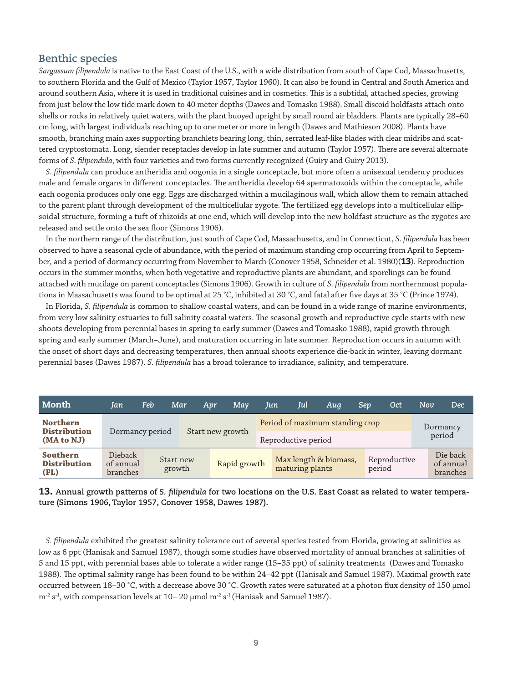#### **Benthic species**

*Sargassum filipendula* is native to the East Coast of the U.S., with a wide distribution from south of Cape Cod, Massachusetts, to southern Florida and the Gulf of Mexico (Taylor 1957, Taylor 1960). It can also be found in Central and South America and around southern Asia, where it is used in traditional cuisines and in cosmetics. This is a subtidal, attached species, growing from just below the low tide mark down to 40 meter depths (Dawes and Tomasko 1988). Small discoid holdfasts attach onto shells or rocks in relatively quiet waters, with the plant buoyed upright by small round air bladders. Plants are typically 28–60 cm long, with largest individuals reaching up to one meter or more in length (Dawes and Mathieson 2008). Plants have smooth, branching main axes supporting branchlets bearing long, thin, serrated leaf-like blades with clear midribs and scattered cryptostomata. Long, slender receptacles develop in late summer and autumn (Taylor 1957). There are several alternate forms of *S. filipendula*, with four varieties and two forms currently recognized (Guiry and Guiry 2013).

*S. filipendula* can produce antheridia and oogonia in a single conceptacle, but more often a unisexual tendency produces male and female organs in different conceptacles. The antheridia develop 64 spermatozoids within the conceptacle, while each oogonia produces only one egg. Eggs are discharged within a mucilaginous wall, which allow them to remain attached to the parent plant through development of the multicellular zygote. The fertilized egg develops into a multicellular ellipsoidal structure, forming a tuft of rhizoids at one end, which will develop into the new holdfast structure as the zygotes are released and settle onto the sea floor (Simons 1906).

In the northern range of the distribution, just south of Cape Cod, Massachusetts, and in Connecticut, *S. filipendula* has been observed to have a seasonal cycle of abundance, with the period of maximum standing crop occurring from April to September, and a period of dormancy occurring from November to March (Conover 1958, Schneider et al. 1980)(13). Reproduction occurs in the summer months, when both vegetative and reproductive plants are abundant, and sporelings can be found attached with mucilage on parent conceptacles (Simons 1906). Growth in culture of *S. filipendula* from northernmost populations in Massachusetts was found to be optimal at 25 °C, inhibited at 30 °C, and fatal after five days at 35 °C (Prince 1974).

In Florida, *S. filipendula* is common to shallow coastal waters, and can be found in a wide range of marine environments, from very low salinity estuaries to full salinity coastal waters. The seasonal growth and reproductive cycle starts with new shoots developing from perennial bases in spring to early summer (Dawes and Tomasko 1988), rapid growth through spring and early summer (March–June), and maturation occurring in late summer. Reproduction occurs in autumn with the onset of short days and decreasing temperatures, then annual shoots experience die-back in winter, leaving dormant perennial bases (Dawes 1987). *S. filipendula* has a broad tolerance to irradiance, salinity, and temperature.

| Month                                   | Jan                              | Feb | Mar                 | Apr              | May | Jun |                                 | Jul             | 'Aug                  | Sep | Oct                    | Nov      |  | Dec                               |
|-----------------------------------------|----------------------------------|-----|---------------------|------------------|-----|-----|---------------------------------|-----------------|-----------------------|-----|------------------------|----------|--|-----------------------------------|
| <b>Northern</b><br><b>Distribution</b>  |                                  |     |                     |                  |     |     | Period of maximum standing crop |                 |                       |     |                        | Dormancy |  |                                   |
| (MA to NJ)                              | Dormancy period                  |     |                     | Start new growth |     |     | Reproductive period             |                 |                       |     | period                 |          |  |                                   |
| Southern<br><b>Distribution</b><br>(FL) | Dieback<br>of annual<br>branches |     | Start new<br>growth | Rapid growth     |     |     |                                 | maturing plants | Max length & biomass, |     | Reproductive<br>period |          |  | Die back<br>of annual<br>branches |

13. **Annual growth patterns of** *S. filipendula* **for two locations on the U.S. East Coast as related to water temperature (Simons 1906, Taylor 1957, Conover 1958, Dawes 1987).** 

*S. filipendula* exhibited the greatest salinity tolerance out of several species tested from Florida, growing at salinities as low as 6 ppt (Hanisak and Samuel 1987), though some studies have observed mortality of annual branches at salinities of 5 and 15 ppt, with perennial bases able to tolerate a wider range (15–35 ppt) of salinity treatments (Dawes and Tomasko 1988). The optimal salinity range has been found to be within 24–42 ppt (Hanisak and Samuel 1987). Maximal growth rate occurred between 18–30 °C, with a decrease above 30 °C. Growth rates were saturated at a photon flux density of 150 μmol  $m<sup>2</sup> s<sup>-1</sup>$ , with compensation levels at 10–20 µmol  $m<sup>-2</sup> s<sup>-1</sup>$  (Hanisak and Samuel 1987).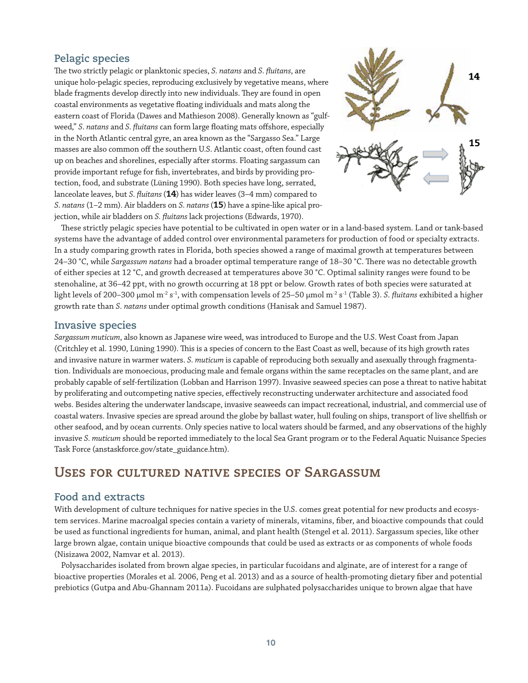#### **Pelagic species**

The two strictly pelagic or planktonic species, *S. natans* and *S. fluitans*, are unique holo-pelagic species, reproducing exclusively by vegetative means, where blade fragments develop directly into new individuals. They are found in open coastal environments as vegetative floating individuals and mats along the eastern coast of Florida (Dawes and Mathieson 2008). Generally known as "gulfweed," *S. natans* and *S. fluitans* can form large floating mats offshore, especially in the North Atlantic central gyre, an area known as the "Sargasso Sea." Large masses are also common off the southern U.S. Atlantic coast, often found cast up on beaches and shorelines, especially after storms. Floating sargassum can provide important refuge for fish, invertebrates, and birds by providing protection, food, and substrate (Lüning 1990). Both species have long, serrated, lanceolate leaves, but *S. fluitans* (14) has wider leaves (3–4 mm) compared to *S. natans* (1–2 mm). Air bladders on *S. natans* (15) have a spine-like apical projection, while air bladders on *S. fluitans* lack projections (Edwards, 1970).



These strictly pelagic species have potential to be cultivated in open water or in a land-based system. Land or tank-based systems have the advantage of added control over environmental parameters for production of food or specialty extracts. In a study comparing growth rates in Florida, both species showed a range of maximal growth at temperatures between 24–30 °C, while *Sargassum natans* had a broader optimal temperature range of 18–30 °C. There was no detectable growth of either species at 12 °C, and growth decreased at temperatures above 30 °C. Optimal salinity ranges were found to be stenohaline, at 36–42 ppt, with no growth occurring at 18 ppt or below. Growth rates of both species were saturated at light levels of 200–300  $\mu$ mol m<sup>-2</sup> s<sup>-1</sup>, with compensation levels of 25–50  $\mu$ mol m<sup>-2</sup> s<sup>-1</sup> (Table 3). *S. fluitans* exhibited a higher growth rate than *S. natans* under optimal growth conditions (Hanisak and Samuel 1987).

#### **Invasive species**

*Sargassum muticum*, also known as Japanese wire weed, was introduced to Europe and the U.S. West Coast from Japan (Critchley et al. 1990, Lüning 1990). This is a species of concern to the East Coast as well, because of its high growth rates and invasive nature in warmer waters. *S. muticum* is capable of reproducing both sexually and asexually through fragmentation. Individuals are monoecious, producing male and female organs within the same receptacles on the same plant, and are probably capable of self-fertilization (Lobban and Harrison 1997). Invasive seaweed species can pose a threat to native habitat by proliferating and outcompeting native species, effectively reconstructing underwater architecture and associated food webs. Besides altering the underwater landscape, invasive seaweeds can impact recreational, industrial, and commercial use of coastal waters. Invasive species are spread around the globe by ballast water, hull fouling on ships, transport of live shellfish or other seafood, and by ocean currents. Only species native to local waters should be farmed, and any observations of the highly invasive *S. muticum* should be reported immediately to the local Sea Grant program or to the Federal Aquatic Nuisance Species Task Force (anstaskforce.gov/state\_guidance.htm).

## **Uses for cultured native species of Sargassum**

#### **Food and extracts**

With development of culture techniques for native species in the U.S. comes great potential for new products and ecosystem services. Marine macroalgal species contain a variety of minerals, vitamins, fiber, and bioactive compounds that could be used as functional ingredients for human, animal, and plant health (Stengel et al. 2011). Sargassum species, like other large brown algae, contain unique bioactive compounds that could be used as extracts or as components of whole foods (Nisizawa 2002, Namvar et al. 2013).

Polysaccharides isolated from brown algae species, in particular fucoidans and alginate, are of interest for a range of bioactive properties (Morales et al*.* 2006, Peng et al. 2013) and as a source of health-promoting dietary fiber and potential prebiotics (Gutpa and Abu-Ghannam 2011a). Fucoidans are sulphated polysaccharides unique to brown algae that have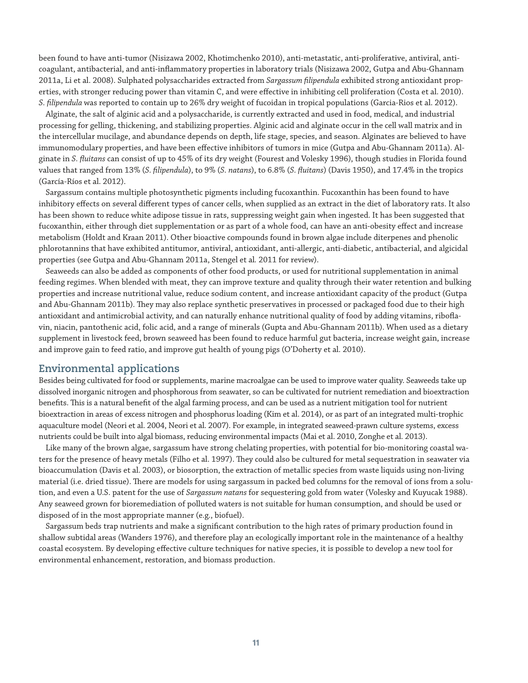been found to have anti-tumor (Nisizawa 2002, Khotimchenko 2010), anti-metastatic, anti-proliferative, antiviral, anticoagulant, antibacterial, and anti-inflammatory properties in laboratory trials (Nisizawa 2002, Gutpa and Abu-Ghannam 2011a, Li et al. 2008). Sulphated polysaccharides extracted from *Sargassum filipendula* exhibited strong antioxidant properties, with stronger reducing power than vitamin C, and were effective in inhibiting cell proliferation (Costa et al. 2010). *S. filipendula* was reported to contain up to 26% dry weight of fucoidan in tropical populations (Garcia-Rios et al. 2012).

Alginate, the salt of alginic acid and a polysaccharide, is currently extracted and used in food, medical, and industrial processing for gelling, thickening, and stabilizing properties. Alginic acid and alginate occur in the cell wall matrix and in the intercellular mucilage, and abundance depends on depth, life stage, species, and season. Alginates are believed to have immunomodulary properties, and have been effective inhibitors of tumors in mice (Gutpa and Abu-Ghannam 2011a). Alginate in *S. fluitans* can consist of up to 45% of its dry weight (Fourest and Volesky 1996), though studies in Florida found values that ranged from 13% (*S. filipendula*), to 9% (*S. natans*), to 6.8% (*S. fluitans*) (Davis 1950), and 17.4% in the tropics (García-Ríos et al. 2012).

Sargassum contains multiple photosynthetic pigments including fucoxanthin. Fucoxanthin has been found to have inhibitory effects on several different types of cancer cells, when supplied as an extract in the diet of laboratory rats. It also has been shown to reduce white adipose tissue in rats, suppressing weight gain when ingested. It has been suggested that fucoxanthin, either through diet supplementation or as part of a whole food, can have an anti-obesity effect and increase metabolism (Holdt and Kraan 2011). Other bioactive compounds found in brown algae include diterpenes and phenolic phlorotannins that have exhibited antitumor, antiviral, antioxidant, anti-allergic, anti-diabetic, antibacterial, and algicidal properties (see Gutpa and Abu-Ghannam 2011a, Stengel et al*.* 2011 for review).

Seaweeds can also be added as components of other food products, or used for nutritional supplementation in animal feeding regimes. When blended with meat, they can improve texture and quality through their water retention and bulking properties and increase nutritional value, reduce sodium content, and increase antioxidant capacity of the product (Gutpa and Abu-Ghannam 2011b). They may also replace synthetic preservatives in processed or packaged food due to their high antioxidant and antimicrobial activity, and can naturally enhance nutritional quality of food by adding vitamins, riboflavin, niacin, pantothenic acid, folic acid, and a range of minerals (Gupta and Abu-Ghannam 2011b). When used as a dietary supplement in livestock feed, brown seaweed has been found to reduce harmful gut bacteria, increase weight gain, increase and improve gain to feed ratio, and improve gut health of young pigs (O'Doherty et al. 2010).

#### **Environmental applications**

Besides being cultivated for food or supplements, marine macroalgae can be used to improve water quality. Seaweeds take up dissolved inorganic nitrogen and phosphorous from seawater, so can be cultivated for nutrient remediation and bioextraction benefits. This is a natural benefit of the algal farming process, and can be used as a nutrient mitigation tool for nutrient bioextraction in areas of excess nitrogen and phosphorus loading (Kim et al. 2014), or as part of an integrated multi-trophic aquaculture model (Neori et al. 2004, Neori et al. 2007). For example, in integrated seaweed-prawn culture systems, excess nutrients could be built into algal biomass, reducing environmental impacts (Mai et al. 2010, Zonghe et al. 2013).

Like many of the brown algae, sargassum have strong chelating properties, with potential for bio-monitoring coastal waters for the presence of heavy metals (Filho et al. 1997). They could also be cultured for metal sequestration in seawater via bioaccumulation (Davis et al. 2003), or biosorption, the extraction of metallic species from waste liquids using non-living material (i.e. dried tissue). There are models for using sargassum in packed bed columns for the removal of ions from a solution, and even a U.S. patent for the use of *Sargassum natans* for sequestering gold from water (Volesky and Kuyucak 1988). Any seaweed grown for bioremediation of polluted waters is not suitable for human consumption, and should be used or disposed of in the most appropriate manner (e.g., biofuel).

Sargassum beds trap nutrients and make a significant contribution to the high rates of primary production found in shallow subtidal areas (Wanders 1976), and therefore play an ecologically important role in the maintenance of a healthy coastal ecosystem. By developing effective culture techniques for native species, it is possible to develop a new tool for environmental enhancement, restoration, and biomass production.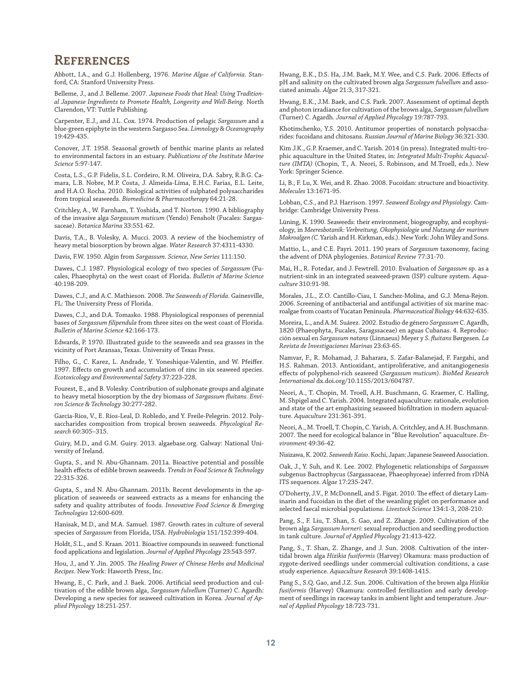### **References**

Abbott, I.A., and G.J. Hollenberg, 1976. *Marine Algae of California*. Stanford, CA: Stanford University Press.

Belleme, J., and J. Belleme. 2007. *Japanese Foods that Heal: Using Traditional Japanese Ingredients to Promote Health, Longevity and Well-Being*. North Clarendon, VT: Tuttle Publishing.

Carpenter, E.J., and J.L. Cox. 1974. Production of pelagic *Sargassum* and a blue-green epiphyte in the western Sargasso Sea. *Limnology & Oceanography* 19:429-435.

Conover, J.T. 1958. Seasonal growth of benthic marine plants as related to environmental factors in an estuary. *Publications of the Institute Marine Science* 5:97-147.

Costa, L.S., G.P. Fidelis, S.L. Cordeiro, R.M. Oliveira, D.A. Sabry, R.B.G. Camara, L.B. Nobre, M.P. Costa, J. Almeida-Lima, E.H.C. Farias, E.L. Leite, and H.A.O. Rocha. 2010. Biological activities of sulphated polysaccharides from tropical seaweeds. *Biomedicine & Pharmacotherapy* 64:21-28.

Critchley, A., W. Farnham, T. Yoshida, and T. Norton. 1990. A bibliography of the invasive alga *Sargassum muticum* (Yendo) Fensholt (Fucales: Sargassaceae). *Botanica Marina* 33:551-62.

Davis, T.A., B. Volesky, A. Mucci. 2003. A review of the biochemistry of heavy metal biosorption by brown algae. *Water Research* 37:4311-4330.

Davis, F.W. 1950. Algin from *Sargassum. Science, New Series* 111:150.

Dawes, C.J. 1987. Physiological ecology of two species of *Sargassum* (Fucales, Phaeophyta) on the west coast of Florida. *Bulletin of Marine Science* 40:198-209.

Dawes, C.J., and A.C. Mathieson. 2008. *The Seaweeds of Florida*. Gainesville, FL: The University Press of Florida.

Dawes, C.J., and D.A. Tomasko. 1988. Physiological responses of perennial bases of *Sargassum filipendula* from three sites on the west coast of Florida. *Bulletin of Marine Science* 42:166-173.

Edwards, P. 1970. Illustrated guide to the seaweeds and sea grasses in the vicinity of Port Aransas, Texas. University of Texas Press.

Filho, G., C. Karez, L. Andrade, Y. Yoneshique-Valentin, and W. Pfeiffer. 1997. Effects on growth and accumulation of zinc in six seaweed species. *Ecotoxicology and Environmental Safety* 37:223-228.

Fourest, E., and B. Volesky. Contribution of sulphonate groups and alginate to heavy metal biosorption by the dry biomass of *Sargassum fluitans. Environ Science & Technology* 30:277-282.

García-Ríos, V., E. Ríos-Leal, D. Robledo, and Y. Freile-Pelegrin. 2012. Polysaccharides composition from tropical brown seaweeds. *Phycological Research* 60:305–315.

Guiry, M.D., and G.M. Guiry. 2013. algaebase.org. Galway: National University of Ireland.

Gupta, S., and N. Abu-Ghannam. 2011a. Bioactive potential and possible health effects of edible brown seaweeds. *Trends in Food Science & Technology* 22:315-326.

Gupta, S., and N. Abu-Ghannam. 2011b. Recent developments in the application of seaweeds or seaweed extracts as a means for enhancing the safety and quality attributes of foods. *Innovative Food Science & Emerging Technologies* 12:600-609.

Hanisak, M.D., and M.A. Samuel. 1987. Growth rates in culture of several species of *Sargassum* from Florida, USA. *Hydrobiologia* 151/152:399-404.

Holdt, S.L., and S. Kraan. 2011. Bioactive compounds in seaweed: functional food applications and legislation. *Journal of Applied Phycology* 23:543-597.

Hou, J., and Y. Jin. 2005. *The Healing Power of Chinese Herbs and Medicinal Recipes.* New York: Haworth Press, Inc.

Hwang, E.*,* C. Park, and J. Baek. 2006. Artificial seed production and cultivation of the edible brown alga, *Sargassum fulvellum* (Turner) C. Agardh: Developing a new species for seaweed cultivation in Korea*. Journal of Applied Phycology* 18:251-257.

Hwang, E.K., D.S. Ha, J.M. Baek, M.Y. Wee, and C.S. Park. 2006. Effects of pH and salinity on the cultivated brown alga *Sargassum fulvellum* and associated animals. *Algae* 21:3, 317-321.

Hwang, E.K., J.M. Baek, and C.S. Park. 2007. Assessment of optimal depth and photon irradiance for cultivation of the brown alga, *Sargassum fulvellum* (Turner) C. Agardh. *Journal of Applied Phycology* 19:787-793.

Khotimchenko, Y.S. 2010. Antitumor properties of nonstarch polysaccharides: fucoidans and chitosans. *Russian Journal of Marine Biology* 36:321-330.

Kim J.K., G.P. Kraemer, and C. Yarish. 2014 (in press). Integrated multi-trophic aquaculture in the United States, in: *Integrated Multi-Trophic Aquaculture (IMTA)* (Chopin, T., A. Neori, S. Robinson, and M.Troell, eds.). New York: Springer Science.

Li, B., F. Lu, X. Wei, and R. Zhao. 2008. Fucoidan: structure and bioactivity. *Molecules* 13:1671-95.

Lobban, C.S., and P.J. Harrison. 1997. *Seaweed Ecology and Physiology*. Cambridge: Cambridge University Press.

Lüning, K. 1990. Seaweeds: their environment, biogeography, and ecophysiology, in *Meeresbotanik: Verbreitung, Okophysiologie und Nutzung der marinen Makroalgen (C.* Yarish and H. Kirkman, eds.). New York: John Wiley and Sons.

Mattio, L., and C.E. Payri. 2011. 190 years of *Sargassum* taxonomy, facing the advent of DNA phylogenies. *Botanical Review* 77:31-70.

Mai, H., R. Fotedar, and J. Fewtrell. 2010. Evaluation of *Sargassum* sp. as a nutrient-sink in an integrated seaweed-prawn (ISP) culture system. *Aquaculture* 310:91-98.

Morales, J.L., Z.O. Cantillo-Ciau, I. Sanchez-Molina, and G.J. Mena-Rejon. 2006. Screening of antibacterial and antifungal activities of six marine macroalgae from coasts of Yucatan Peninsula. *Pharmaceutical Biology* 44:632-635.

Moreira, L., and A.M. Suárez. 2002. Estudio de género *Sargassum* C. Agardh, 1820 (Phaeophyta, Fucales, Saragssaceae) en aguas Cubanas. 4. Reproducción sexual en *Sargassum natans* (Linnaeus) Meyer y *S. fluitans* Børgesen. *La Revista de Investigaciones Marinas* 23:63-65.

Namvar, F., R. Mohamad, J. Baharara, S. Zafar-Balanejad, F. Fargahi, and H.S. Rahman. 2013. Antioxidant, antiproliferative, and anitangiogenesis effects of polyphenol-rich seaweed (*Sargassum muticum*). *BioMed Research International* dx.doi.org/10.1155/2013/604787.

Neori, A., T. Chopin, M. Troell, A.H. Buschmann, G. Kraemer, C. Halling, M. Shpigel and C. Yarish. 2004. Integrated aquaculture: rationale, evolution and state of the art emphasizing seaweed biofiltration in modern aquaculture. *Aquaculture* 231:361-391.

Neori, A., M. Troell, T. Chopin, C. Yarish, A. Critchley, and A.H. Buschmann. 2007. The need for ecological balance in "Blue Revolution" aquaculture. *Environment* 49:36-42.

Nisizawa, K. 2002. *Seaweeds Kaiso*. Kochi, Japan: Japanese Seaweed Association.

Oak, J., Y. Suh, and K. Lee. 2002. Phylogenetic relationships of *Sargassum* subgenus Bactrophycus (Sargassaceae, Phaeophyceae) inferred from rDNA ITS sequences. *Algae* 17:235-247.

O'Doherty, J.V., P. McDonnell, and S. Figat. 2010. The effect of dietary Laminarin and fucoidan in the diet of the weanling piglet on performance and selected faecal microbial populations. *Livestock Science* 134:1-3, 208-210.

Pang, S., F. Liu, T. Shan, S. Gao, and Z. Zhange. 2009. Cultivation of the brown alga *Sargassum horneri*: sexual reproduction and seedling production in tank culture. *Journal of Applied Phycology* 21:413-422.

Pang, S., T. Shan, Z. Zhange, and J. Sun. 2008. Cultivation of the intertidal brown alga *Hizikia fusiformis* (Harvey) Okamura: mass production of zygote-derived seedlings under commercial cultivation conditions, a case study experience. *Aquaculture Research* 39:1408-1415.

Pang S.*,* S.Q. Gao, and J.Z. Sun. 2006. Cultivation of the brown alga *Hizikia fusiformis* (Harvey) Okamura: controlled fertilization and early development of seedlings in raceway tanks in ambient light and temperature*. Journal of Applied Phycology* 18:723-731.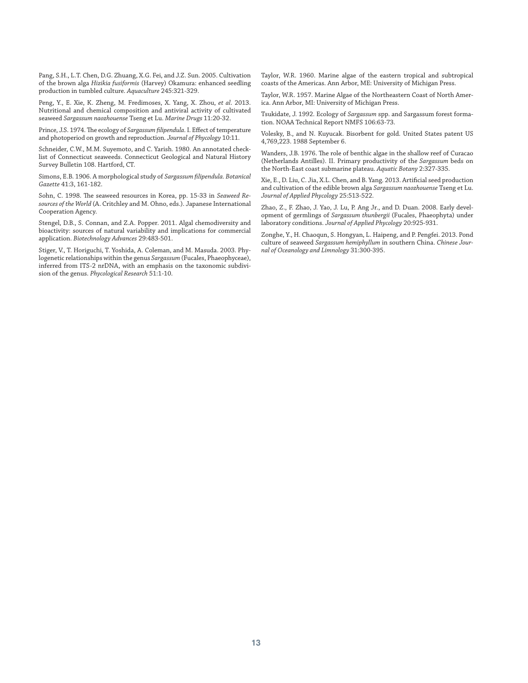Pang, S.H., L.T. Chen, D.G. Zhuang, X.G. Fei, and J.Z. Sun. 2005. Cultivation of the brown alga *Hizikia fusiformis* (Harvey) Okamura: enhanced seedling production in tumbled culture. *Aquaculture* 245:321-329.

Peng, Y., E. Xie, K. Zheng, M. Fredimoses, X. Yang, X. Zhou, *et al*. 2013. Nutritional and chemical composition and antiviral activity of cultivated seaweed *Sargassum naozhouense* Tseng et Lu. *Marine Drugs* 11:20-32.

Prince, J.S. 1974. The ecology of *Sargassum filipendula*. I. Effect of temperature and photoperiod on growth and reproduction. *Journal of Phycology* 10:11.

Schneider, C.W., M.M. Suyemoto, and C. Yarish. 1980. An annotated checklist of Connecticut seaweeds. Connecticut Geological and Natural History Survey Bulletin 108. Hartford, CT.

Simons, E.B. 1906. A morphological study of *Sargassum filipendula. Botanical Gazette* 41:3, 161-182.

Sohn, C. 1998. The seaweed resources in Korea, pp. 15-33 in *Seaweed Resources of the World* (A. Critchley and M. Ohno, eds.). Japanese International Cooperation Agency.

Stengel, D.B., S. Connan, and Z.A. Popper. 2011. Algal chemodiversity and bioactivity: sources of natural variability and implications for commercial application. *Biotechnology Advances* 29:483-501.

Stiger, V., T. Horiguchi, T. Yoshida, A. Coleman, and M. Masuda. 2003. Phylogenetic relationships within the genus *Sargassum* (Fucales, Phaeophyceae), inferred from ITS-2 nrDNA, with an emphasis on the taxonomic subdivision of the genus. *Phycological Research* 51:1-10.

Taylor, W.R. 1960. Marine algae of the eastern tropical and subtropical coasts of the Americas. Ann Arbor, ME: University of Michigan Press.

Taylor, W.R. 1957. Marine Algae of the Northeastern Coast of North America. Ann Arbor, MI: University of Michigan Press.

Tsukidate, J. 1992. Ecology of *Sargassum* spp. and Sargassum forest formation. NOAA Technical Report NMFS 106:63-73.

Volesky, B., and N. Kuyucak. Bisorbent for gold. United States patent US 4,769,223. 1988 September 6.

Wanders, J.B. 1976. The role of benthic algae in the shallow reef of Curacao (Netherlands Antilles). II. Primary productivity of the *Sargassum* beds on the North-East coast submarine plateau. *Aquatic Botany* 2:327-335.

Xie, E., D. Liu, C. Jia, X.L. Chen, and B. Yang. 2013. Artificial seed production and cultivation of the edible brown alga *Sargassum naozhouense* Tseng et Lu. *Journal of Applied Phycology* 25:513-522.

Zhao, Z., F. Zhao, J. Yao, J. Lu, P. Ang Jr., and D. Duan. 2008. Early development of germlings of *Sargassum thunbergii* (Fucales, Phaeophyta) under laboratory conditions. *Journal of Applied Phycology* 20:925-931.

Zonghe, Y., H. Chaoqun, S. Hongyan, L. Haipeng, and P. Pengfei. 2013. Pond culture of seaweed *Sargassum hemiphyllum* in southern China. *Chinese Journal of Oceanology and Limnology* 31:300-395.